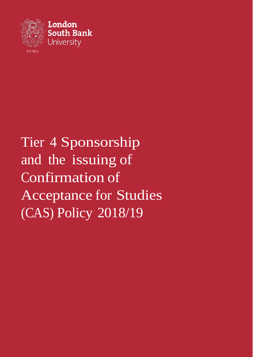

# Tier 4 Sponsorship and the issuing of Confirmation of Acceptance for Studies (CAS) Policy 2018/19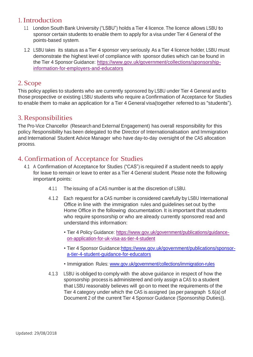#### 1. Introduction

- 1.1 London South Bank University ("LSBU") holds <sup>a</sup> Tier 4 licence. The licence allows LSBU to sponsor certain students to enable them to apply for a visa under Tier 4 General of the points-based system.
- 1.2 LSBU takes its status as a Tier 4 sponsor very seriously. As a Tier 4 licence holder, LSBU must demonstrate the highest level of compliance with sponsor duties which can be found in the Tier 4 Sponsor Guidance: [https://www.gov.uk/government/collections/sponsorship](https://www.gov.uk/government/collections/sponsorship-information-for-employers-and-educators)[information-for-employers-and-educators](https://www.gov.uk/government/collections/sponsorship-information-for-employers-and-educators)

#### 2. Scope

This policy applies to students who are currently sponsored by LSBU under Tier 4 General and to those prospective or existing LSBU students who require a Confirmation of Acceptance for Studies to enable them to make an application for a Tier 4 General visa(together referred to as "students").

#### 3.Responsibilities

The Pro-Vice Chancellor (Research and External Engagement) has overall responsibility for this policy. Responsibility has been delegated to the Director of Internationalisation and Immigration and International Student Advice Manager who have day-to-day oversight of the CAS allocation process.

# 4. Confirmation of Acceptance for Studies

- 4.1 A Confirmation of Acceptance for Studies ("CAS") is required if a student needs to apply for leave to remain or leave to enter as <sup>a</sup> Tier 4 General student. Please note the following important points:
	- 4.1.1 The issuing of a CAS number is at the discretion of LSBU.
	- 4.1.2 Each request for a CAS number is considered carefully by LSBU International Office in line with the immigration rules and guidelines set out by the Home Office in the following documentation. It is important that students who require sponsorship or who are already currently sponsored read and understand this information:
		- Tier 4 Policy Guidance: [https://www.gov.uk/government/publications/guidance](https://www.gov.uk/government/publications/guidance-on-application-for-uk-visa-as-tier-4-student)[on-application-for-uk-visa-as-tier-4-student](https://www.gov.uk/government/publications/guidance-on-application-for-uk-visa-as-tier-4-student)
		- Tier 4 Sponsor Guidance[:https://www.gov.uk/government/publications/sponsor](https://www.gov.uk/government/publications/sponsor-a-tier-4-student-guidance-for-educators)[a-tier-4-student-guidance-for-educators](https://www.gov.uk/government/publications/sponsor-a-tier-4-student-guidance-for-educators)
		- Immigration Rules: [www.gov.uk/government/collections/immigration-rules](http://www.gov.uk/government/collections/immigration-rules)
	- 4.1.3 LSBU is obliged to comply with the above guidance in respect of how the sponsorship process is administered and only assign a CAS to a student that LSBU reasonably believes will go on to meet the requirements of the Tier 4 category under which the CAS is assigned (as per paragraph 5.6(a) of Document <sup>2</sup> of the current Tier 4 Sponsor Guidance (Sponsorship Duties)).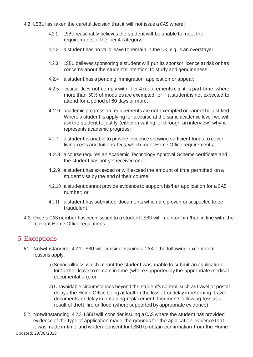- 4.2 LSBU has taken the careful decision that it will not issue a CAS where:
	- 4.2.1 LSBU reasonably believes the student will be unable to meet the requirements of the Tier 4 category;
	- 4.2.2 a student has no valid leave to remain in the UK, e.g. is an overstayer;
	- 4.2.3 LSBU believes sponsoring a student will put its sponsor licence at risk or has concerns about the student's intention to study and genuineness;
	- 4.2.4 a student has a pending immigration application or appeal;
	- 4.2.5 course does not comply with Tier 4 requirements e.g. it is part-time, where more than 50% of modules are exempted, or if a student is not expected to attend for a period of 60 days or more;
	- 4.2.6 academic progression requirements are not exempted or cannot be justified. Where a student is applying for a course at the same academic level, we will ask the student to justify (either in writing or through an interview) why it represents academic progress;
	- 4.2.7 a student is unable to provide evidence showing sufficient funds to cover living costs and tuitions fees, which meet Home Office requirements;
	- 4.2.8 a course requires an Academic Technology Approval Scheme certificate and the student has not yet received one;
	- 4.2.9 a student has exceeded or will exceed the amount of time permitted on a student visa by the end of their course;
	- 4.2.10 a student cannot provide evidence to support his/her application for a CAS number; or
	- 4.2.11 a student has submitted documents which are proven or suspected to be fraudulent.
- 4.3 Once a CAS number has been issued to a student LSBU will monitor him/her in line with the relevant Home Office regulations.

#### 5. Exceptions

- 5.1 Notwithstanding 4.2.1, LSBU will consider issuing a CAS if the following exceptional reasons apply:
	- a) Serious illness which meant the student was unable to submit an application for further leave to remain in time (where supported by the appropriate medical documentation); or
	- b) Unavoidable circumstances beyond the student's control, such as travel or postal delays, the Home Office being at fault in the loss of, or delay in returning, travel documents, or delay in obtaining replacement documents following loss as a result of theft, fire or flood (where supported by appropriate evidence).
- Updated: 29/08/2018 5.2 Notwithstanding 4.2.3, LSBU will consider issuing a CAS where the student has provided evidence of the type of application made, the grounds for the application, evidence that it was made in-time and written consent for LSBU to obtain confirmation from the Home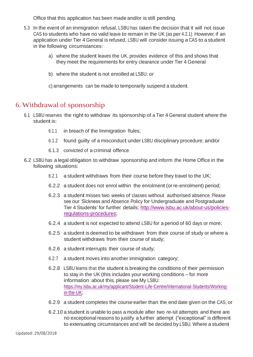Office that this application has been made and/or is still pending.

- 5.3 In the event of an immigration refusal, LSBU has taken the decision that it will not issue CAS to students who have no valid leave to remain in the UK (as per 4.2.1). However, if an application under Tier 4 General is refused, LSBU will consider issuing a CAS to a student in the following circumstances:
	- a) where the student leaves the UK, provides evidence of this and shows that they meet the requirements for entry clearance under Tier 4 General
	- b) where the student is not enrolled at LSBU; or
	- c) arrangements can be made to temporarily suspend a student.

# 6. Withdrawal of sponsorship

- 6.1 LSBU reserves the right to withdraw its sponsorship of <sup>a</sup> Tier 4 General student where the student is:
	- 6.1.1 in breach of the Immigration Rules;
	- 6.1.2 found guilty of a misconduct under LSBU disciplinary procedure; and/or
	- 6.1.3 convicted of a criminal offence.
- 6.2 LSBU has a legal obligation to withdraw sponsorship and inform the Home Office in the following situations:
	- 6.2.1 a student withdraws from their course before they travel to the UK;
	- 6.2.2 a student does not enrol within the enrolment (or re-enrolment) period;
	- 6.2.3 a student misses two weeks of classes without authorised absence. Please see our 'Sickness and Absence Policy for Undergraduate and Postgraduate Tier 4 Students' for further details; [http://www.lsbu.ac.uk/about-us/policies](http://www.lsbu.ac.uk/about-us/policies-regulations-procedures)[regulations-procedures;](http://www.lsbu.ac.uk/about-us/policies-regulations-procedures)
	- 6.2.4 a student is not expected to attend LSBU for a period of 60 days or more;
	- 6.2.5 a student is deemed to be withdrawn from their course of study or where a student withdraws from their course of study;
	- 6.2.6 a student interrupts their course of study;
	- 6.2.7 a student moves into another immigration category;
	- 6.2.8 LSBU learns that the student is breaking the conditions of their permission to stay in the UK (this includes your working conditions – for more information about this, please see My LSBU: [https://my.lsbu.ac.uk/my/applicant/Student-Life-Centre/International-Students/Working](https://my.lsbu.ac.uk/my/applicant/Student-Life-Centre/International-Students/Working-in-the-UK)[in-the-UK;](https://my.lsbu.ac.uk/my/applicant/Student-Life-Centre/International-Students/Working-in-the-UK)
	- 6.2.9 a student completes the course earlier than the end date given on the CAS; or
	- 6.2.10 a student is unable to pass a module after two re-sit attempts and there are no exceptional reasons to justify a further attempt ("exceptional" is different to extenuating circumstances and will be decided by LSBU. Where a student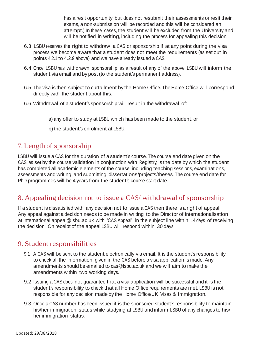has a resit opportunity but does not resubmit their assessments or resit their exams, a non-submission will be recorded and this will be considered an attempt.) In these cases, the student will be excluded from the University and will be notified in writing, including the process for appealing this decision.

- 6.3 LSBU reserves the right to withdraw a CAS or sponsorship if at any point during the visa process we become aware that a student does not meet the requirements (as set out in points 4.2.1 to 4.2.9 above) and we have already issued a CAS.
- 6.4 Once LSBU has withdrawn sponsorship as a result of any of the above, LSBU will inform the student via email and by post (to the student's permanent address).
- 6.5 The visa is then subject to curtailment by the Home Office. The Home Office will correspond directly with the student about this.
- 6.6 Withdrawal of a student's sponsorship will result in the withdrawal of:
	- a) any offer to study at LSBU which has been made to the student, or
	- b) the student's enrolment at LSBU.

# 7. Length of sponsorship

LSBU will issue a CAS for the duration of a student's course. The course end date given on the CAS, as set by the course validation in conjunction with Registry, is the date by which the student has completed all academic elements of the course, including teaching sessions, examinations, assessments and writing and submitting dissertations/projects/theses. The course end date for PhD programmes will be 4 years from the student's course start date.

# 8. Appealing decision not to issue a CAS/ withdrawal of sponsorship

If a student is dissatisfied with any decision not to issue a CAS then there is a right of appeal. Any appeal against a decision needs to be made in writing to the Director of Internationalisation at [international.appeal@lsbu.ac.uk](mailto:international.appeal@lsbu.ac.uk) with 'CAS Appeal' in the subject line within <sup>14</sup> days of receiving the decision. On receipt of the appeal LSBU will respond within 30 days.

# 9. Student responsibilities

- 9.1 A CAS will be sent to the student electronically via email. It is the student's responsibility to check all the information given in the CAS before a visa application is made. Any amendments should be emailed to [cas@lsbu.ac.uk](mailto:cas@lsbu.ac.uk) and we will aim to make the amendments within two working days.
- 9.2 Issuing a CAS does not guarantee that a visa application will be successful and it is the student's responsibility to check that all Home Office requirements are met. LSBU is not responsible for any decision made by the Home Office/UK Visas & Immigration.
- 9.3 Once a CAS number has been issued it is the sponsored student's responsibility to maintain his/her immigration status while studying at LSBU and inform LSBU of any changes to his/ her immigration status.